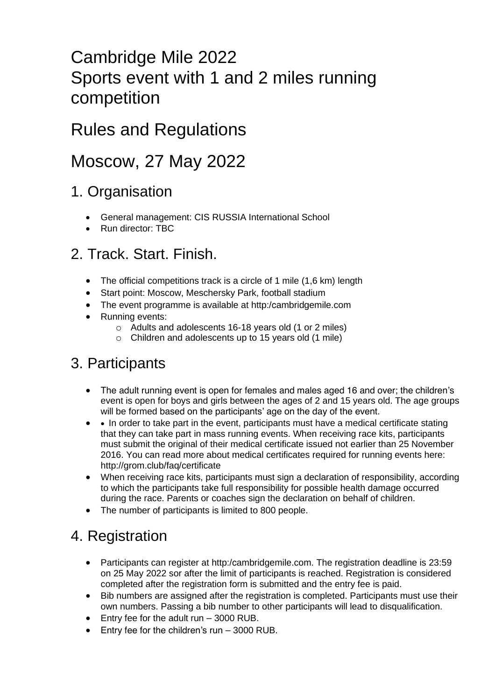# Cambridge Mile 2022 Sports event with 1 and 2 miles running competition

# Rules and Regulations

# Moscow, 27 May 2022

### 1. Organisation

- General management: CIS RUSSIA International School
- Run director: TBC

### 2. Track. Start. Finish.

- The official competitions track is a circle of 1 mile (1,6 km) length
- Start point: Moscow, Meschersky Park, football stadium
- The event programme is available at http:/cambridgemile.com
- Running events:
	- o Adults and adolescents 16-18 years old (1 or 2 miles)
	- o Children and adolescents up to 15 years old (1 mile)

### 3. Participants

- The adult running event is open for females and males aged 16 and over; the children's event is open for boys and girls between the ages of 2 and 15 years old. The age groups will be formed based on the participants' age on the day of the event.
- In order to take part in the event, participants must have a medical certificate stating that they can take part in mass running events. When receiving race kits, participants must submit the original of their medical certificate issued not earlier than 25 November 2016. You can read more about medical certificates required for running events here: http://grom.club/faq/certificate
- When receiving race kits, participants must sign a declaration of responsibility, according to which the participants take full responsibility for possible health damage occurred during the race. Parents or coaches sign the declaration on behalf of children.
- The number of participants is limited to 800 people.

### 4. Registration

- Participants can register at http:/cambridgemile.com. The registration deadline is 23:59 on 25 May 2022 sor after the limit of participants is reached. Registration is considered completed after the registration form is submitted and the entry fee is paid.
- Bib numbers are assigned after the registration is completed. Participants must use their own numbers. Passing a bib number to other participants will lead to disqualification.
- Entry fee for the adult run 3000 RUB.
- Entry fee for the children's run 3000 RUB.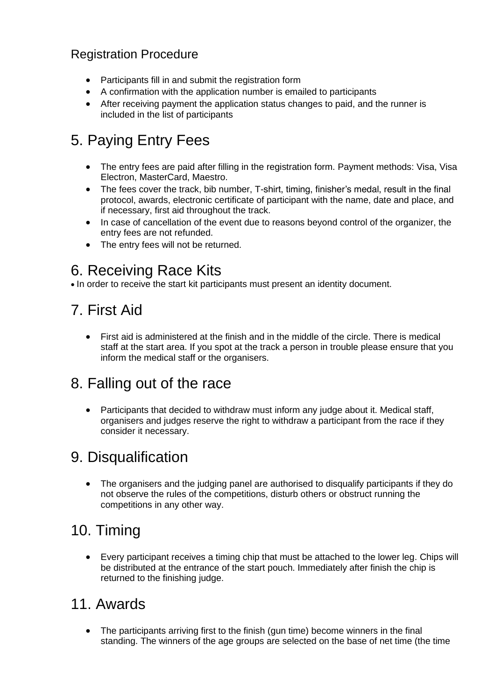#### Registration Procedure

- Participants fill in and submit the registration form
- A confirmation with the application number is emailed to participants
- After receiving payment the application status changes to paid, and the runner is included in the list of participants

## 5. Paying Entry Fees

- The entry fees are paid after filling in the registration form. Payment methods: Visa, Visa Electron, MasterCard, Maestro.
- The fees cover the track, bib number, T-shirt, timing, finisher's medal, result in the final protocol, awards, electronic certificate of participant with the name, date and place, and if necessary, first aid throughout the track.
- In case of cancellation of the event due to reasons beyond control of the organizer, the entry fees are not refunded.
- The entry fees will not be returned.

### 6. Receiving Race Kits

• In order to receive the start kit participants must present an identity document.

# 7. First Aid

• First aid is administered at the finish and in the middle of the circle. There is medical staff at the start area. If you spot at the track a person in trouble please ensure that you inform the medical staff or the organisers.

## 8. Falling out of the race

• Participants that decided to withdraw must inform any judge about it. Medical staff, organisers and judges reserve the right to withdraw a participant from the race if they consider it necessary.

## 9. Disqualification

• The organisers and the judging panel are authorised to disqualify participants if they do not observe the rules of the competitions, disturb others or obstruct running the competitions in any other way.

### 10. Timing

• Every participant receives a timing chip that must be attached to the lower leg. Chips will be distributed at the entrance of the start pouch. Immediately after finish the chip is returned to the finishing judge.

#### 11. Awards

The participants arriving first to the finish (gun time) become winners in the final standing. The winners of the age groups are selected on the base of net time (the time